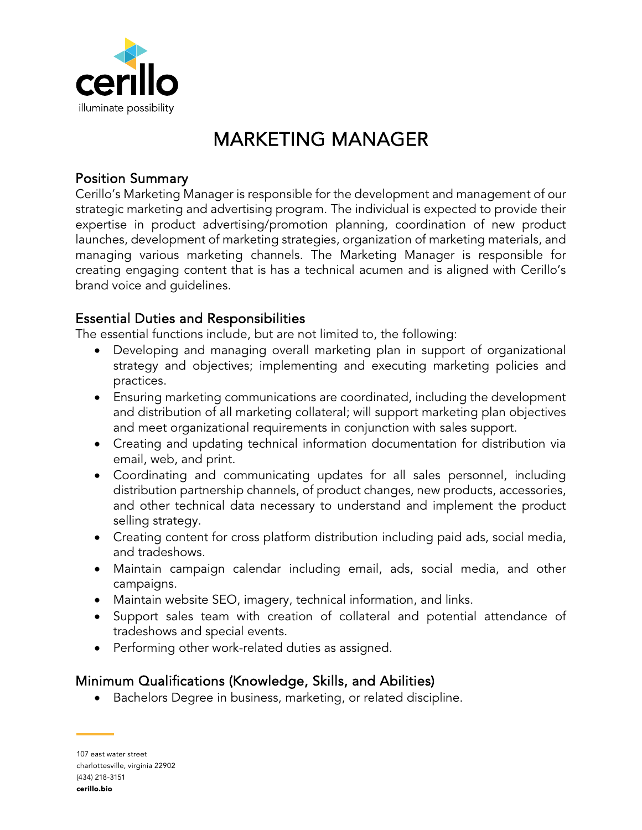

# MARKETING MANAGER

### Position Summary

Cerillo's Marketing Manager is responsible for the development and management of our strategic marketing and advertising program. The individual is expected to provide their expertise in product advertising/promotion planning, coordination of new product launches, development of marketing strategies, organization of marketing materials, and managing various marketing channels. The Marketing Manager is responsible for creating engaging content that is has a technical acumen and is aligned with Cerillo's brand voice and guidelines.

## Essential Duties and Responsibilities

The essential functions include, but are not limited to, the following:

- Developing and managing overall marketing plan in support of organizational strategy and objectives; implementing and executing marketing policies and practices.
- Ensuring marketing communications are coordinated, including the development and distribution of all marketing collateral; will support marketing plan objectives and meet organizational requirements in conjunction with sales support.
- Creating and updating technical information documentation for distribution via email, web, and print.
- Coordinating and communicating updates for all sales personnel, including distribution partnership channels, of product changes, new products, accessories, and other technical data necessary to understand and implement the product selling strategy.
- Creating content for cross platform distribution including paid ads, social media, and tradeshows.
- Maintain campaign calendar including email, ads, social media, and other campaigns.
- Maintain website SEO, imagery, technical information, and links.
- Support sales team with creation of collateral and potential attendance of tradeshows and special events.
- Performing other work-related duties as assigned.

## Minimum Qualifications (Knowledge, Skills, and Abilities)

• Bachelors Degree in business, marketing, or related discipline.